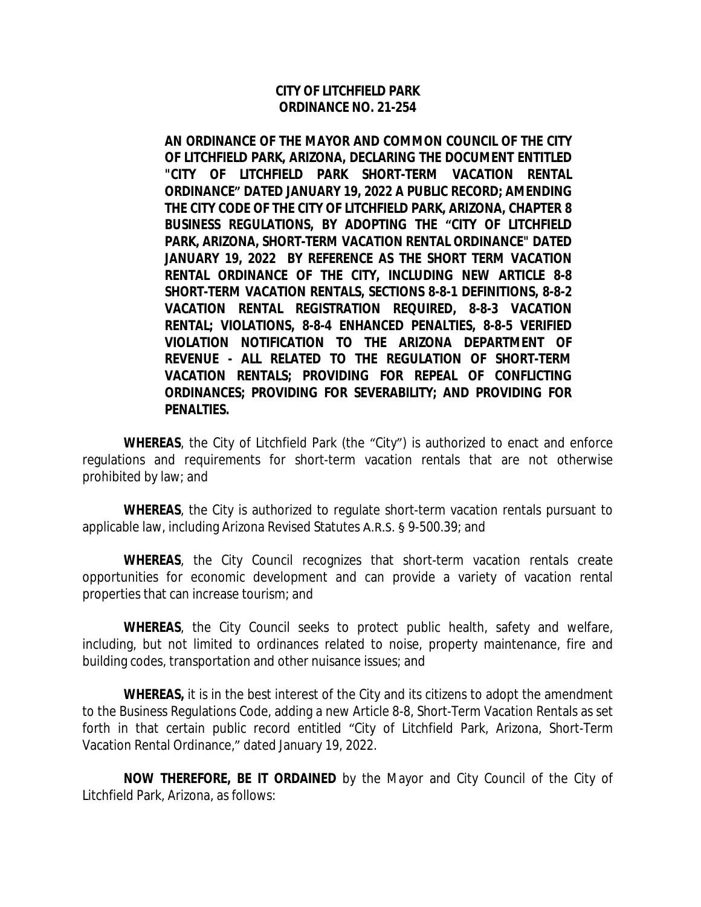#### **CITY OF LITCHFIELD PARK ORDINANCE NO. 21-254**

**AN ORDINANCE OF THE MAYOR AND COMMON COUNCIL OF THE CITY OF LITCHFIELD PARK, ARIZONA, DECLARING THE DOCUMENT ENTITLED "CITY OF LITCHFIELD PARK SHORT-TERM VACATION RENTAL ORDINANCE" DATED JANUARY 19, 2022 A PUBLIC RECORD; AMENDING THE CITY CODE OF THE CITY OF LITCHFIELD PARK, ARIZONA, CHAPTER 8 BUSINESS REGULATIONS, BY ADOPTING THE "CITY OF LITCHFIELD PARK, ARIZONA, SHORT-TERM VACATION RENTAL ORDINANCE" DATED JANUARY 19, 2022 BY REFERENCE AS THE SHORT TERM VACATION RENTAL ORDINANCE OF THE CITY, INCLUDING NEW ARTICLE 8-8 SHORT-TERM VACATION RENTALS, SECTIONS 8-8-1 DEFINITIONS, 8-8-2 VACATION RENTAL REGISTRATION REQUIRED, 8-8-3 VACATION RENTAL; VIOLATIONS, 8-8-4 ENHANCED PENALTIES, 8-8-5 VERIFIED VIOLATION NOTIFICATION TO THE ARIZONA DEPARTMENT OF REVENUE - ALL RELATED TO THE REGULATION OF SHORT-TERM VACATION RENTALS; PROVIDING FOR REPEAL OF CONFLICTING ORDINANCES; PROVIDING FOR SEVERABILITY; AND PROVIDING FOR PENALTIES.**

**WHEREAS**, the City of Litchfield Park (the "City") is authorized to enact and enforce regulations and requirements for short-term vacation rentals that are not otherwise prohibited by law; and

**WHEREAS**, the City is authorized to regulate short-term vacation rentals pursuant to applicable law, including Arizona Revised Statutes A.R.S. § 9-500.39; and

**WHEREAS**, the City Council recognizes that short-term vacation rentals create opportunities for economic development and can provide a variety of vacation rental properties that can increase tourism; and

**WHEREAS**, the City Council seeks to protect public health, safety and welfare, including, but not limited to ordinances related to noise, property maintenance, fire and building codes, transportation and other nuisance issues; and

**WHEREAS,** it is in the best interest of the City and its citizens to adopt the amendment to the Business Regulations Code, adding a new Article 8-8, Short-Term Vacation Rentals as set forth in that certain public record entitled "City of Litchfield Park, Arizona, Short-Term Vacation Rental Ordinance," dated January 19, 2022.

**NOW THEREFORE, BE IT ORDAINED** by the Mayor and City Council of the City of Litchfield Park, Arizona, as follows: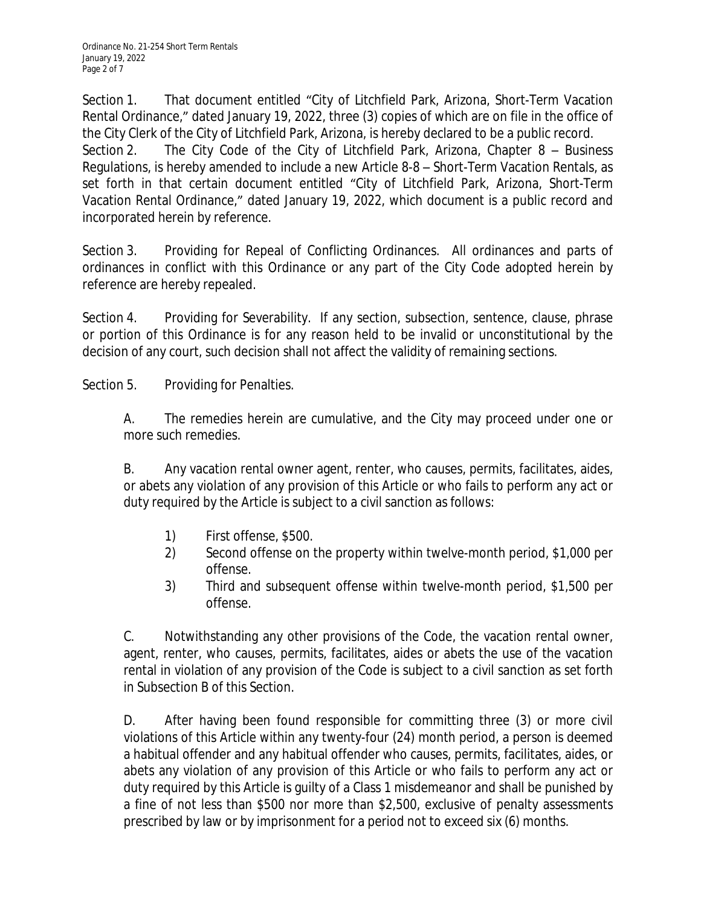Section 1. That document entitled "City of Litchfield Park, Arizona, Short-Term Vacation Rental Ordinance," dated January 19, 2022, three (3) copies of which are on file in the office of the City Clerk of the City of Litchfield Park, Arizona, is hereby declared to be a public record. Section 2. The City Code of the City of Litchfield Park, Arizona, Chapter 8 – Business Regulations, is hereby amended to include a new Article 8-8 – Short-Term Vacation Rentals, as set forth in that certain document entitled "City of Litchfield Park, Arizona, Short-Term Vacation Rental Ordinance," dated January 19, 2022, which document is a public record and incorporated herein by reference.

Section 3. Providing for Repeal of Conflicting Ordinances. All ordinances and parts of ordinances in conflict with this Ordinance or any part of the City Code adopted herein by reference are hereby repealed.

Section 4. Providing for Severability. If any section, subsection, sentence, clause, phrase or portion of this Ordinance is for any reason held to be invalid or unconstitutional by the decision of any court, such decision shall not affect the validity of remaining sections.

Section 5. Providing for Penalties.

A. The remedies herein are cumulative, and the City may proceed under one or more such remedies.

B. Any vacation rental owner agent, renter, who causes, permits, facilitates, aides, or abets any violation of any provision of this Article or who fails to perform any act or duty required by the Article is subject to a civil sanction as follows:

- 1) First offense, \$500.
- 2) Second offense on the property within twelve-month period, \$1,000 per offense.
- 3) Third and subsequent offense within twelve-month period, \$1,500 per offense.

C. Notwithstanding any other provisions of the Code, the vacation rental owner, agent, renter, who causes, permits, facilitates, aides or abets the use of the vacation rental in violation of any provision of the Code is subject to a civil sanction as set forth in Subsection B of this Section.

D. After having been found responsible for committing three (3) or more civil violations of this Article within any twenty-four (24) month period, a person is deemed a habitual offender and any habitual offender who causes, permits, facilitates, aides, or abets any violation of any provision of this Article or who fails to perform any act or duty required by this Article is guilty of a Class 1 misdemeanor and shall be punished by a fine of not less than \$500 nor more than \$2,500, exclusive of penalty assessments prescribed by law or by imprisonment for a period not to exceed six (6) months.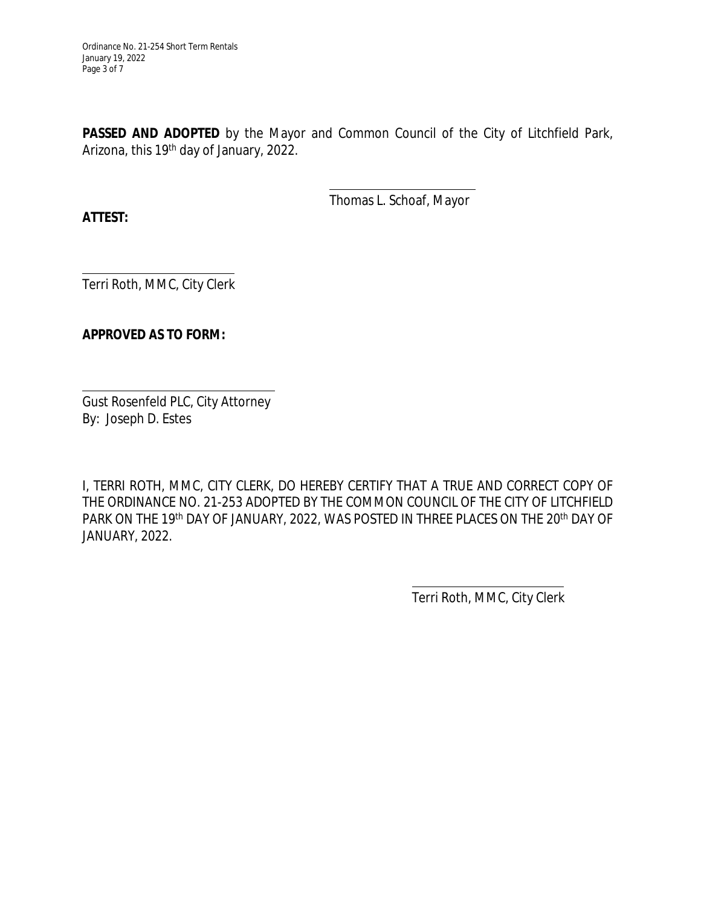**PASSED AND ADOPTED** by the Mayor and Common Council of the City of Litchfield Park, Arizona, this 19<sup>th</sup> day of January, 2022.

> $\overline{a}$ Thomas L. Schoaf, Mayor

**ATTEST:**

 $\overline{a}$ Terri Roth, MMC, City Clerk

## **APPROVED AS TO FORM:**

 $\overline{a}$ Gust Rosenfeld PLC, City Attorney By: Joseph D. Estes

I, TERRI ROTH, MMC, CITY CLERK, DO HEREBY CERTIFY THAT A TRUE AND CORRECT COPY OF THE ORDINANCE NO. 21-253 ADOPTED BY THE COMMON COUNCIL OF THE CITY OF LITCHFIELD PARK ON THE 19<sup>th</sup> DAY OF JANUARY, 2022, WAS POSTED IN THREE PLACES ON THE 20<sup>th</sup> DAY OF JANUARY, 2022.

 $\overline{a}$ 

Terri Roth, MMC, City Clerk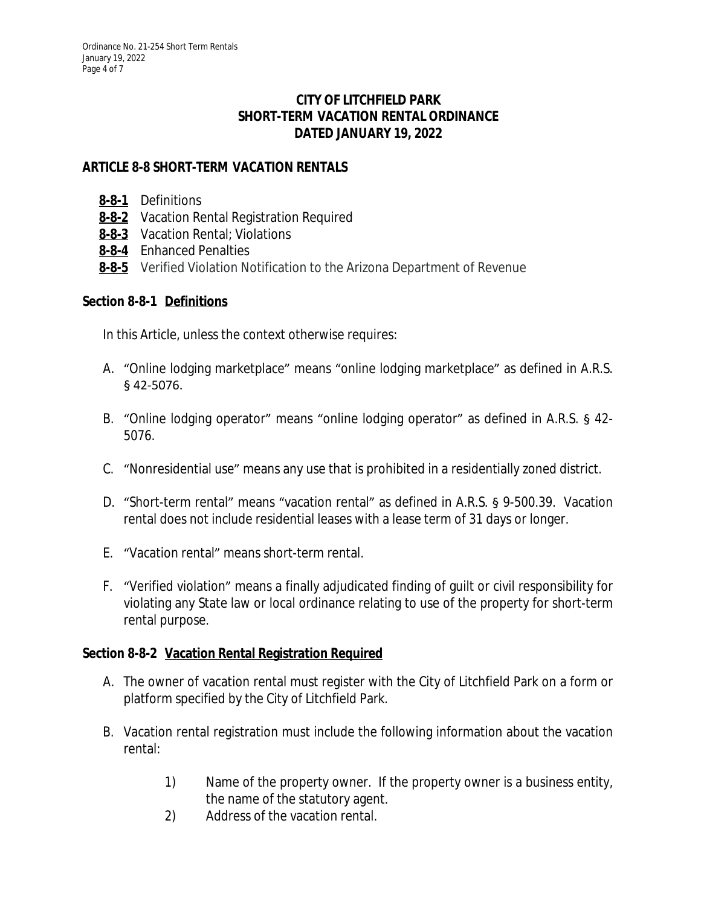## **CITY OF LITCHFIELD PARK SHORT-TERM VACATION RENTAL ORDINANCE DATED JANUARY 19, 2022**

# **ARTICLE 8-8 SHORT-TERM VACATION RENTALS**

- **[8-8-1](https://www.codepublishing.com/AZ/LitchfieldPark/#!/LitchfieldPark08.html#8-6-1)** Definitions
- **[8-8-2](https://www.codepublishing.com/AZ/LitchfieldPark/#!/LitchfieldPark08.html#8-6-2)** Vacation Rental Registration Required
- **[8-8-3](https://www.codepublishing.com/AZ/LitchfieldPark/#!/LitchfieldPark08.html#8-6-3)** Vacation Rental; Violations
- **[8-8-4](https://www.codepublishing.com/AZ/LitchfieldPark/#!/LitchfieldPark08.html#8-6-4)** Enhanced Penalties
- **[8-8-5](https://www.codepublishing.com/AZ/LitchfieldPark/#!/LitchfieldPark08.html#8-6-5)** [Verified Violation Notification to the Arizona Department of Revenue](https://www.codepublishing.com/AZ/LitchfieldPark/#!/LitchfieldPark08.html#8-6-5)

## **[Section 8-8-1](https://www.codepublishing.com/AZ/LitchfieldPark/#!/LitchfieldPark08.html#8-6-5) [Definitions](https://www.codepublishing.com/AZ/LitchfieldPark/#!/LitchfieldPark08.html#8-6-5)**

[In this Article, unless the context otherwise requires:](https://www.codepublishing.com/AZ/LitchfieldPark/#!/LitchfieldPark08.html#8-6-5)

- A. "Online lodging [marketplace](https://www.codepublishing.com/AZ/LitchfieldPark/#!/LitchfieldPark08.html#8-6-5)" means "online lodging marketplace" as defined in A.R.S. [§ 42-5076.](https://www.codepublishing.com/AZ/LitchfieldPark/#!/LitchfieldPark08.html#8-6-5)
- B. "Online lodging [operator](https://www.codepublishing.com/AZ/LitchfieldPark/#!/LitchfieldPark08.html#8-6-5)" means "online lodging operator" as defined in A.R.S. § 42- [5076.](https://www.codepublishing.com/AZ/LitchfieldPark/#!/LitchfieldPark08.html#8-6-5)
- C. "Nonresidential use" [means any use that is prohibited in a residentially zoned district.](https://www.codepublishing.com/AZ/LitchfieldPark/#!/LitchfieldPark08.html#8-6-5)
- D. "[Short-term](https://www.codepublishing.com/AZ/LitchfieldPark/#!/LitchfieldPark08.html#8-6-5) rental" means "vacation rental" as defined in A.R.S. § 9-500.39. Vacation [rental does not include residential leases with a lease term of 31 days or longer.](https://www.codepublishing.com/AZ/LitchfieldPark/#!/LitchfieldPark08.html#8-6-5)
- E. "Vacation rental" [means short-term rental.](https://www.codepublishing.com/AZ/LitchfieldPark/#!/LitchfieldPark08.html#8-6-5)
- F. "Verified violation" means a finally adjudicated finding of guilt or civil [responsibility](https://www.codepublishing.com/AZ/LitchfieldPark/#!/LitchfieldPark08.html#8-6-5) for violating any State law or local ordinance relating to use of the property for [short-term](https://www.codepublishing.com/AZ/LitchfieldPark/#!/LitchfieldPark08.html#8-6-5) [rental purpose.](https://www.codepublishing.com/AZ/LitchfieldPark/#!/LitchfieldPark08.html#8-6-5)

#### **[Section 8-8-2](https://www.codepublishing.com/AZ/LitchfieldPark/#!/LitchfieldPark08.html#8-6-5) [Vacation Rental Registration Required](https://www.codepublishing.com/AZ/LitchfieldPark/#!/LitchfieldPark08.html#8-6-5)**

- A. The owner of vacation rental must register with the City of [Litchfield](https://www.codepublishing.com/AZ/LitchfieldPark/#!/LitchfieldPark08.html#8-6-5) Park on a form or [platform specified by the City of Litchfield Park.](https://www.codepublishing.com/AZ/LitchfieldPark/#!/LitchfieldPark08.html#8-6-5)
- B. Vacation rental registration must include the following [information](https://www.codepublishing.com/AZ/LitchfieldPark/#!/LitchfieldPark08.html#8-6-5) about the vacation [rental:](https://www.codepublishing.com/AZ/LitchfieldPark/#!/LitchfieldPark08.html#8-6-5)
	- 1) Name of the [property](https://www.codepublishing.com/AZ/LitchfieldPark/#!/LitchfieldPark08.html#8-6-5) owner. If the property owner is a business entity, [the name of the statutory agent.](https://www.codepublishing.com/AZ/LitchfieldPark/#!/LitchfieldPark08.html#8-6-5)
	- 2) [Address of the vacation rental.](https://www.codepublishing.com/AZ/LitchfieldPark/#!/LitchfieldPark08.html#8-6-5)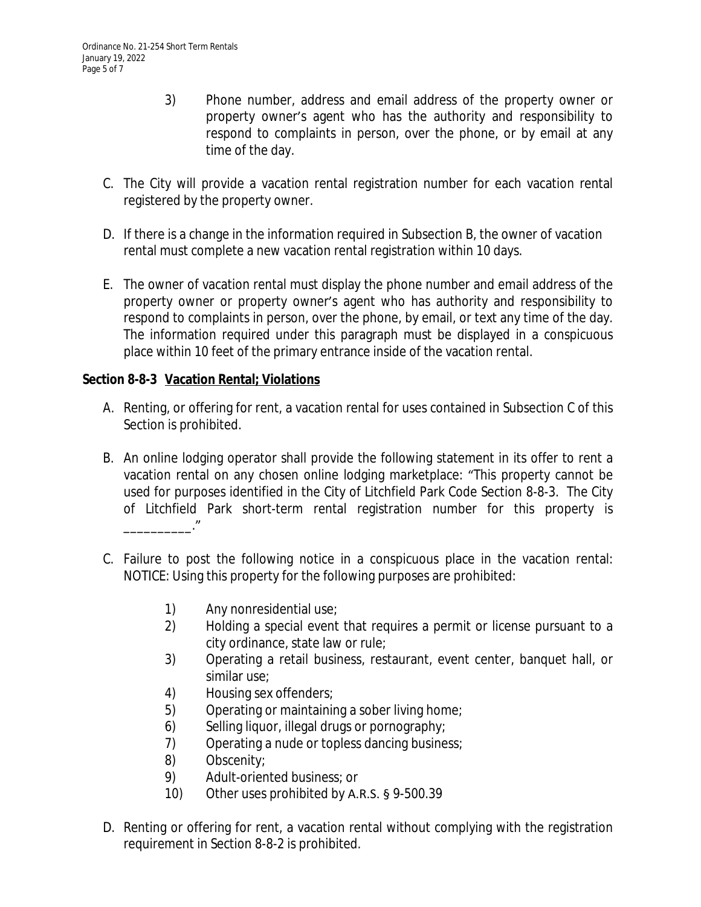- 3) Phone number, address and email address of the property owner or property owner's agent who has the authority and responsibility to respond to complaints in person, over the phone, or by email at any time of the day.
- C. The City will provide a vacation rental registration number for each vacation rental registered by the property owner.
- D. If there is a change in the information required in Subsection B, the owner of vacation rental must complete a new vacation rental registration within 10 days.
- E. The owner of vacation rental must display the phone number and email address of the property owner or property owner's agent who has authority and responsibility to respond to complaints in person, over the phone, by email, or text any time of the day. The information required under this paragraph must be displayed in a conspicuous place within 10 feet of the primary entrance inside of the vacation rental.

## **Section 8-8-3 Vacation Rental; Violations**

- A. Renting, or offering for rent, a vacation rental for uses contained in Subsection C of this Section is prohibited.
- B. An online lodging operator shall provide the following statement in its offer to rent a vacation rental on any chosen online lodging marketplace: "This property cannot be used for purposes identified in the City of Litchfield Park Code Section 8-8-3. The City of Litchfield Park short-term rental registration number for this property is \_\_\_\_\_\_\_\_\_\_."
- C. Failure to post the following notice in a conspicuous place in the vacation rental: NOTICE: Using this property for the following purposes are prohibited:
	- 1) Any nonresidential use;
	- 2) Holding a special event that requires a permit or license pursuant to a city ordinance, state law or rule;
	- 3) Operating a retail business, restaurant, event center, banquet hall, or similar use;
	- 4) Housing sex offenders;
	- 5) Operating or maintaining a sober living home;
	- 6) Selling liquor, illegal drugs or pornography;
	- 7) Operating a nude or topless dancing business;
	- 8) Obscenity;
	- 9) Adult-oriented business; or
	- 10) Other uses prohibited by A.R.S. § 9-500.39
- D. Renting or offering for rent, a vacation rental without complying with the registration requirement in Section 8-8-2 is prohibited.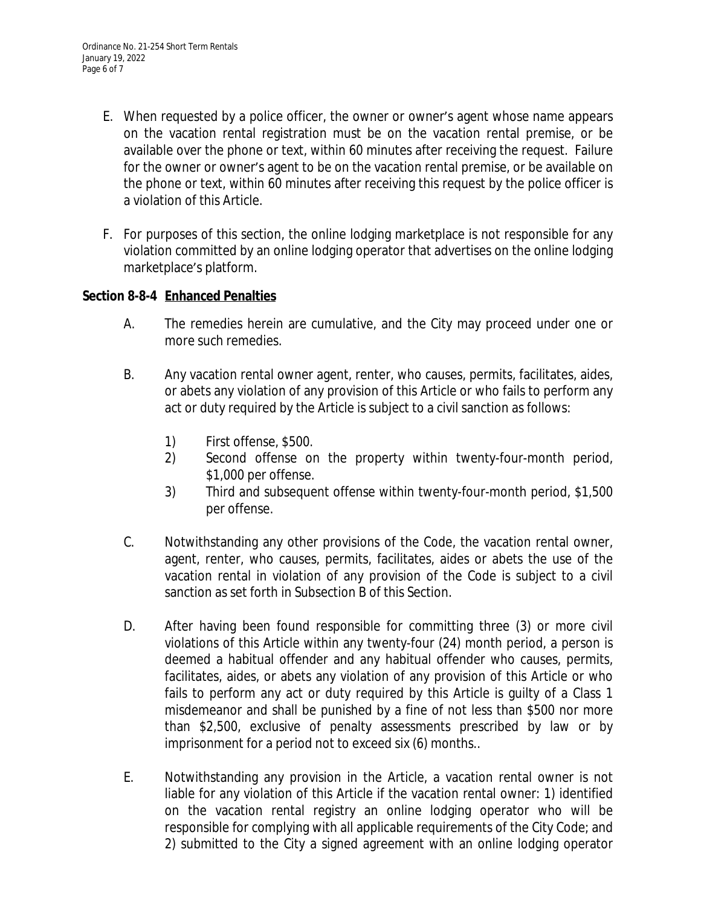- E. When requested by a police officer, the owner or owner's agent whose name appears on the vacation rental registration must be on the vacation rental premise, or be available over the phone or text, within 60 minutes after receiving the request. Failure for the owner or owner's agent to be on the vacation rental premise, or be available on the phone or text, within 60 minutes after receiving this request by the police officer is a violation of this Article.
- F. For purposes of this section, the online lodging marketplace is not responsible for any violation committed by an online lodging operator that advertises on the online lodging marketplace's platform.

## **Section 8-8-4 Enhanced Penalties**

- A. The remedies herein are cumulative, and the City may proceed under one or more such remedies.
- B. Any vacation rental owner agent, renter, who causes, permits, facilitates, aides, or abets any violation of any provision of this Article or who fails to perform any act or duty required by the Article is subject to a civil sanction as follows:
	- 1) First offense, \$500.
	- 2) Second offense on the property within twenty-four-month period, \$1,000 per offense.
	- 3) Third and subsequent offense within twenty-four-month period, \$1,500 per offense.
- C. Notwithstanding any other provisions of the Code, the vacation rental owner, agent, renter, who causes, permits, facilitates, aides or abets the use of the vacation rental in violation of any provision of the Code is subject to a civil sanction as set forth in Subsection B of this Section.
- D. After having been found responsible for committing three (3) or more civil violations of this Article within any twenty-four (24) month period, a person is deemed a habitual offender and any habitual offender who causes, permits, facilitates, aides, or abets any violation of any provision of this Article or who fails to perform any act or duty required by this Article is guilty of a Class 1 misdemeanor and shall be punished by a fine of not less than \$500 nor more than \$2,500, exclusive of penalty assessments prescribed by law or by imprisonment for a period not to exceed six (6) months..
- E. Notwithstanding any provision in the Article, a vacation rental owner is not liable for any violation of this Article if the vacation rental owner: 1) identified on the vacation rental registry an online lodging operator who will be responsible for complying with all applicable requirements of the City Code; and 2) submitted to the City a signed agreement with an online lodging operator